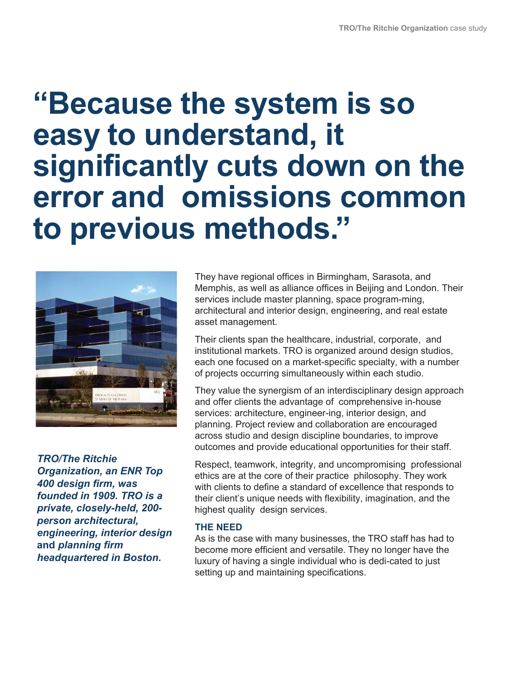# **"Because the system is so easy to understand, it significantly cuts down on the error and omissions common to previous methods. "**



*TRO/The Ritchie Organization, an ENR Top 400 design firm, was founded in 1909. TRO is a private, closely-held, 200 person architectural, engineering, interior design* **and** *planning firm headquartered in Boston.*

They have regional offices in Birmingham, Sarasota, and Memphis, as well as alliance offices in Beijing and London. Their services include master planning, space program-ming, architectural and interior design, engineering, and real estate asset management.

Their clients span the healthcare, industrial, corporate, and institutional markets. TRO is organized around design studios, each one focused on a market-specific specialty, with a number of projects occurring simultaneously within each studio.

They value the synergism of an interdisciplinary design approach and offer clients the advantage of comprehensive in-house services: architecture, engineer-ing, interior design, and planning. Project review and collaboration are encouraged across studio and design discipline boundaries, to improve outcomes and provide educational opportunities for their staff.

Respect, teamwork, integrity, and uncompromising professional ethics are at the core of their practice philosophy. They work with clients to define a standard of excellence that responds to their client's unique needs with flexibility, imagination, and the highest quality design services.

## **THE NEED**

As is the case with many businesses, the TRO staff has had to become more efficient and versatile. They no longer have the luxury of having a single individual who is dedi-cated to just setting up and maintaining specifications.